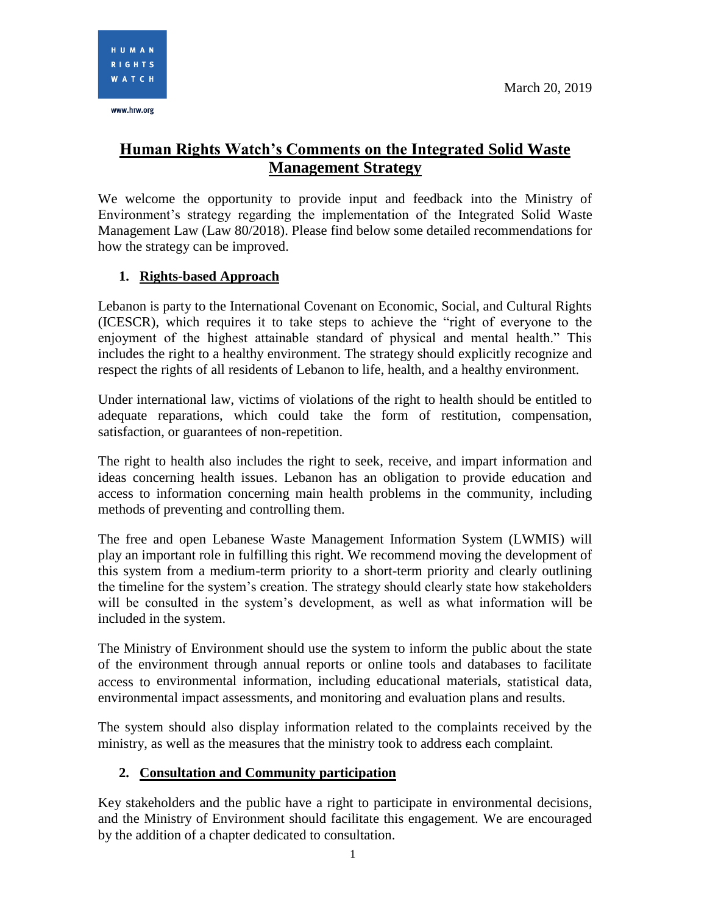www.hrw.org

# **Human Rights Watch's Comments on the Integrated Solid Waste Management Strategy**

We welcome the opportunity to provide input and feedback into the Ministry of Environment's strategy regarding the implementation of the Integrated Solid Waste Management Law (Law 80/2018). Please find below some detailed recommendations for how the strategy can be improved.

# **1. Rights-based Approach**

Lebanon is party to the International Covenant on Economic, Social, and Cultural Rights (ICESCR), which requires it to take steps to achieve the "right of everyone to the enjoyment of the highest attainable standard of physical and mental health." This includes the right to a healthy environment. The strategy should explicitly recognize and respect the rights of all residents of Lebanon to life, health, and a healthy environment.

Under international law, victims of violations of the right to health should be entitled to adequate reparations, which could take the form of restitution, compensation, satisfaction, or guarantees of non-repetition.

The right to health also includes the right to seek, receive, and impart information and ideas concerning health issues. Lebanon has an obligation to provide education and access to information concerning main health problems in the community, including methods of preventing and controlling them.

The free and open Lebanese Waste Management Information System (LWMIS) will play an important role in fulfilling this right. We recommend moving the development of this system from a medium-term priority to a short-term priority and clearly outlining the timeline for the system's creation. The strategy should clearly state how stakeholders will be consulted in the system's development, as well as what information will be included in the system.

The Ministry of Environment should use the system to inform the public about the state of the environment through annual reports or online tools and databases to facilitate access to environmental information, including educational materials, statistical data, environmental impact assessments, and monitoring and evaluation plans and results.

The system should also display information related to the complaints received by the ministry, as well as the measures that the ministry took to address each complaint.

## **2. Consultation and Community participation**

Key stakeholders and the public have a right to participate in environmental decisions, and the Ministry of Environment should facilitate this engagement. We are encouraged by the addition of a chapter dedicated to consultation.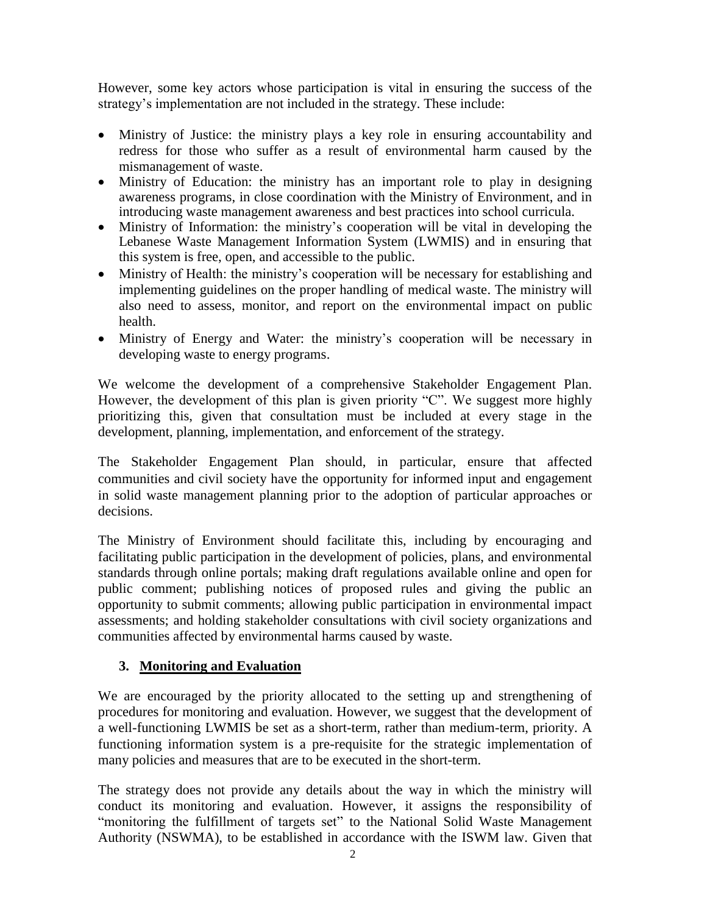However, some key actors whose participation is vital in ensuring the success of the strategy's implementation are not included in the strategy. These include:

- Ministry of Justice: the ministry plays a key role in ensuring accountability and redress for those who suffer as a result of environmental harm caused by the mismanagement of waste.
- Ministry of Education: the ministry has an important role to play in designing awareness programs, in close coordination with the Ministry of Environment, and in introducing waste management awareness and best practices into school curricula.
- Ministry of Information: the ministry's cooperation will be vital in developing the Lebanese Waste Management Information System (LWMIS) and in ensuring that this system is free, open, and accessible to the public.
- Ministry of Health: the ministry's cooperation will be necessary for establishing and implementing guidelines on the proper handling of medical waste. The ministry will also need to assess, monitor, and report on the environmental impact on public health.
- Ministry of Energy and Water: the ministry's cooperation will be necessary in developing waste to energy programs.

We welcome the development of a comprehensive Stakeholder Engagement Plan. However, the development of this plan is given priority "C". We suggest more highly prioritizing this, given that consultation must be included at every stage in the development, planning, implementation, and enforcement of the strategy.

The Stakeholder Engagement Plan should, in particular, ensure that affected communities and civil society have the opportunity for informed input and engagement in solid waste management planning prior to the adoption of particular approaches or decisions.

The Ministry of Environment should facilitate this, including by encouraging and facilitating public participation in the development of policies, plans, and environmental standards through online portals; making draft regulations available online and open for public comment; publishing notices of proposed rules and giving the public an opportunity to submit comments; allowing public participation in environmental impact assessments; and holding stakeholder consultations with civil society organizations and communities affected by environmental harms caused by waste.

## **3. Monitoring and Evaluation**

We are encouraged by the priority allocated to the setting up and strengthening of procedures for monitoring and evaluation. However, we suggest that the development of a well-functioning LWMIS be set as a short-term, rather than medium-term, priority. A functioning information system is a pre-requisite for the strategic implementation of many policies and measures that are to be executed in the short-term.

The strategy does not provide any details about the way in which the ministry will conduct its monitoring and evaluation. However, it assigns the responsibility of "monitoring the fulfillment of targets set" to the National Solid Waste Management Authority (NSWMA), to be established in accordance with the ISWM law. Given that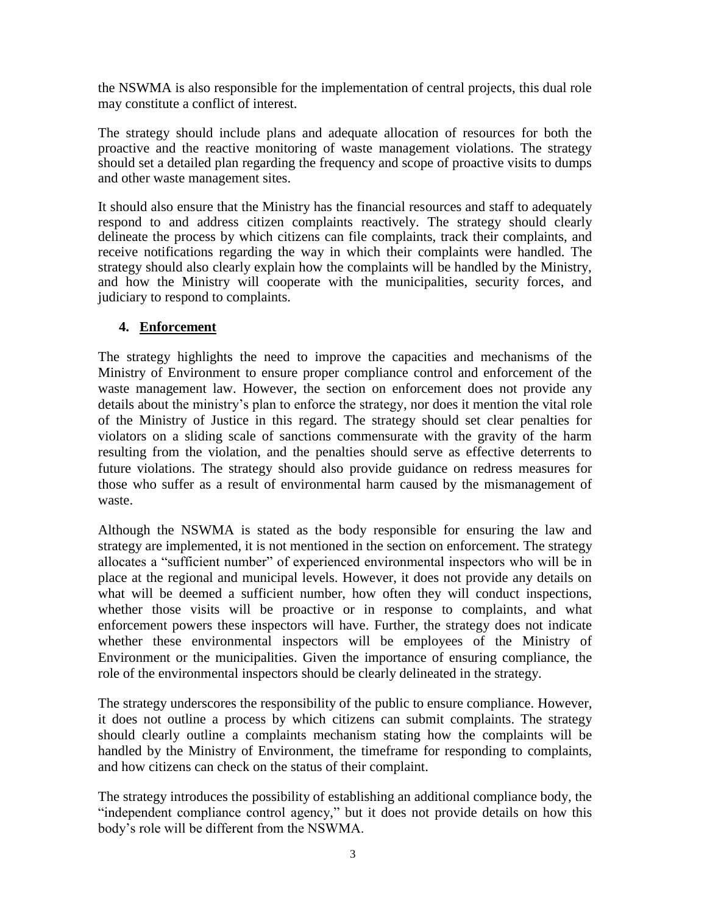the NSWMA is also responsible for the implementation of central projects, this dual role may constitute a conflict of interest.

The strategy should include plans and adequate allocation of resources for both the proactive and the reactive monitoring of waste management violations. The strategy should set a detailed plan regarding the frequency and scope of proactive visits to dumps and other waste management sites.

It should also ensure that the Ministry has the financial resources and staff to adequately respond to and address citizen complaints reactively. The strategy should clearly delineate the process by which citizens can file complaints, track their complaints, and receive notifications regarding the way in which their complaints were handled. The strategy should also clearly explain how the complaints will be handled by the Ministry, and how the Ministry will cooperate with the municipalities, security forces, and judiciary to respond to complaints.

#### **4. Enforcement**

The strategy highlights the need to improve the capacities and mechanisms of the Ministry of Environment to ensure proper compliance control and enforcement of the waste management law. However, the section on enforcement does not provide any details about the ministry's plan to enforce the strategy, nor does it mention the vital role of the Ministry of Justice in this regard. The strategy should set clear penalties for violators on a sliding scale of sanctions commensurate with the gravity of the harm resulting from the violation, and the penalties should serve as effective deterrents to future violations. The strategy should also provide guidance on redress measures for those who suffer as a result of environmental harm caused by the mismanagement of waste.

Although the NSWMA is stated as the body responsible for ensuring the law and strategy are implemented, it is not mentioned in the section on enforcement. The strategy allocates a "sufficient number" of experienced environmental inspectors who will be in place at the regional and municipal levels. However, it does not provide any details on what will be deemed a sufficient number, how often they will conduct inspections, whether those visits will be proactive or in response to complaints, and what enforcement powers these inspectors will have. Further, the strategy does not indicate whether these environmental inspectors will be employees of the Ministry of Environment or the municipalities. Given the importance of ensuring compliance, the role of the environmental inspectors should be clearly delineated in the strategy.

The strategy underscores the responsibility of the public to ensure compliance. However, it does not outline a process by which citizens can submit complaints. The strategy should clearly outline a complaints mechanism stating how the complaints will be handled by the Ministry of Environment, the timeframe for responding to complaints, and how citizens can check on the status of their complaint.

The strategy introduces the possibility of establishing an additional compliance body, the "independent compliance control agency," but it does not provide details on how this body's role will be different from the NSWMA.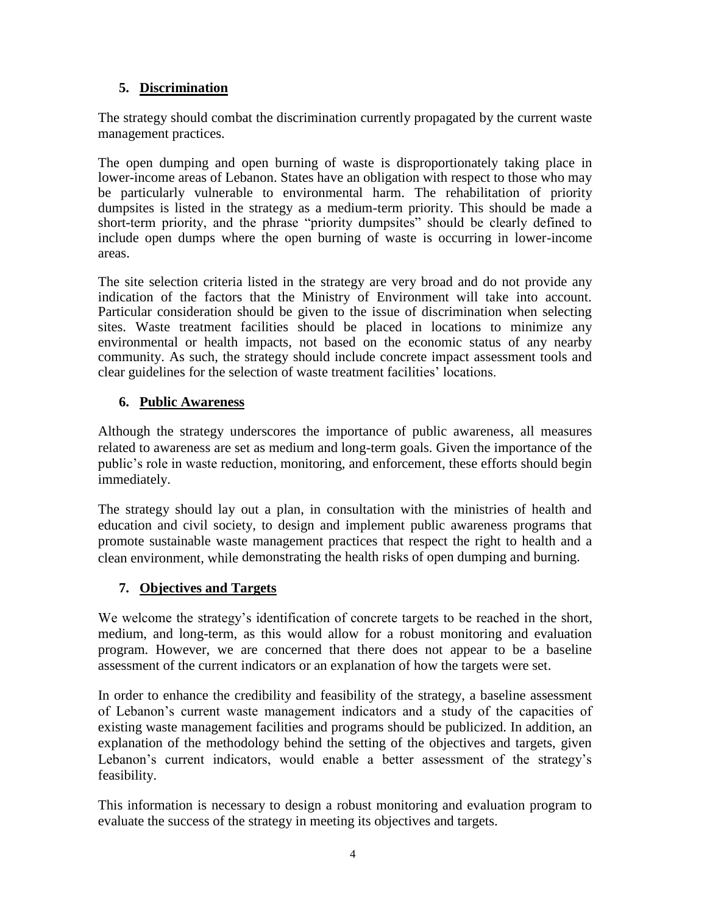# **5. Discrimination**

The strategy should combat the discrimination currently propagated by the current waste management practices.

The open dumping and open burning of waste is disproportionately taking place in lower-income areas of Lebanon. States have an obligation with respect to those who may be particularly vulnerable to environmental harm. The rehabilitation of priority dumpsites is listed in the strategy as a medium-term priority. This should be made a short-term priority, and the phrase "priority dumpsites" should be clearly defined to include open dumps where the open burning of waste is occurring in lower-income areas.

The site selection criteria listed in the strategy are very broad and do not provide any indication of the factors that the Ministry of Environment will take into account. Particular consideration should be given to the issue of discrimination when selecting sites. Waste treatment facilities should be placed in locations to minimize any environmental or health impacts, not based on the economic status of any nearby community. As such, the strategy should include concrete impact assessment tools and clear guidelines for the selection of waste treatment facilities' locations.

## **6. Public Awareness**

Although the strategy underscores the importance of public awareness, all measures related to awareness are set as medium and long-term goals. Given the importance of the public's role in waste reduction, monitoring, and enforcement, these efforts should begin immediately.

The strategy should lay out a plan, in consultation with the ministries of health and education and civil society, to design and implement public awareness programs that promote sustainable waste management practices that respect the right to health and a clean environment, while demonstrating the health risks of open dumping and burning.

# **7. Objectives and Targets**

We welcome the strategy's identification of concrete targets to be reached in the short, medium, and long-term, as this would allow for a robust monitoring and evaluation program. However, we are concerned that there does not appear to be a baseline assessment of the current indicators or an explanation of how the targets were set.

In order to enhance the credibility and feasibility of the strategy, a baseline assessment of Lebanon's current waste management indicators and a study of the capacities of existing waste management facilities and programs should be publicized. In addition, an explanation of the methodology behind the setting of the objectives and targets, given Lebanon's current indicators, would enable a better assessment of the strategy's feasibility.

This information is necessary to design a robust monitoring and evaluation program to evaluate the success of the strategy in meeting its objectives and targets.